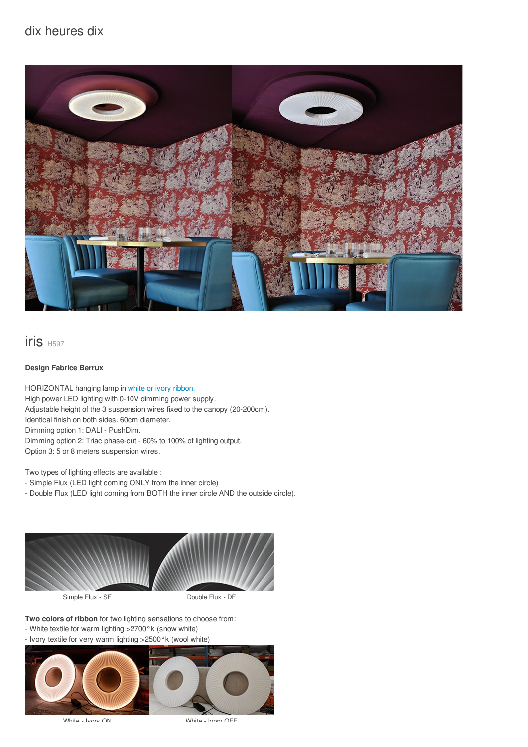## dix heures dix



iris H597

## **Design Fabrice Berrux**

HORIZONTAL hanging lamp in white or ivory [ribbon.](/files/documents/compo/iris-blanc-ivoire.jpg) High power LED lighting with 0-10V dimming power supply. Adjustable height of the 3 suspension wires fixed to the canopy (20-200cm). Identical finish on both sides. 60cm diameter. Dimming option 1: DALI - PushDim. Dimming option 2: Triac phase-cut - 60% to 100% of lighting output. Option 3: 5 or 8 meters suspension wires.

Two types of lighting effects are available :

- Simple Flux (LED light coming ONLY from the inner circle)

- Double Flux (LED light coming from BOTH the inner circle AND the outside circle).



**Two colors of ribbon** for two lighting sensations to choose from:

- White textile for warm lighting >2700°k (snow white)
- Ivory textile for very warm lighting >2500°k (wool white)



White - Ivory ON White - Ivory OFF